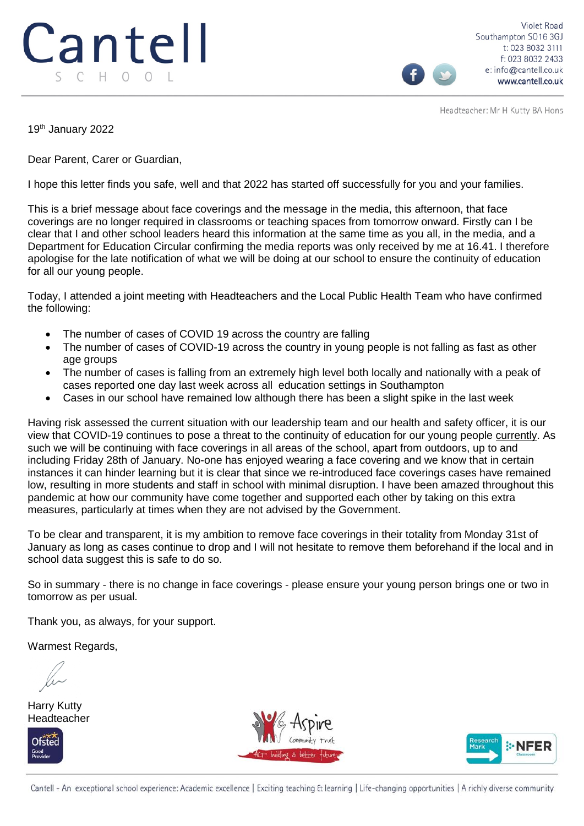## Cantell SCHOOL

**Violet Road** Southampton SO16 3GJ t: 023 8032 3111 f: 023 8032 2433 e: info@cantell.co.uk www.cantell.co.uk

Headteacher: Mr H Kutty BA Hons

19th January 2022

Dear Parent, Carer or Guardian,

I hope this letter finds you safe, well and that 2022 has started off successfully for you and your families.

This is a brief message about face coverings and the message in the media, this afternoon, that face coverings are no longer required in classrooms or teaching spaces from tomorrow onward. Firstly can I be clear that I and other school leaders heard this information at the same time as you all, in the media, and a Department for Education Circular confirming the media reports was only received by me at 16.41. I therefore apologise for the late notification of what we will be doing at our school to ensure the continuity of education for all our young people.

Today, I attended a joint meeting with Headteachers and the Local Public Health Team who have confirmed the following:

- The number of cases of COVID 19 across the country are falling
- The number of cases of COVID-19 across the country in young people is not falling as fast as other age groups
- The number of cases is falling from an extremely high level both locally and nationally with a peak of cases reported one day last week across all education settings in Southampton
- Cases in our school have remained low although there has been a slight spike in the last week

Having risk assessed the current situation with our leadership team and our health and safety officer, it is our view that COVID-19 continues to pose a threat to the continuity of education for our young people currently. As such we will be continuing with face coverings in all areas of the school, apart from outdoors, up to and including Friday 28th of January. No-one has enjoyed wearing a face covering and we know that in certain instances it can hinder learning but it is clear that since we re-introduced face coverings cases have remained low, resulting in more students and staff in school with minimal disruption. I have been amazed throughout this pandemic at how our community have come together and supported each other by taking on this extra measures, particularly at times when they are not advised by the Government.

To be clear and transparent, it is my ambition to remove face coverings in their totality from Monday 31st of January as long as cases continue to drop and I will not hesitate to remove them beforehand if the local and in school data suggest this is safe to do so.

So in summary - there is no change in face coverings - please ensure your young person brings one or two in tomorrow as per usual.

Thank you, as always, for your support.

Warmest Regards,

Harry Kutty Headteacher







Cantell - An exceptional school experience: Academic excellence | Exciting teaching & learning | Life-changing opportunities | A richly diverse community